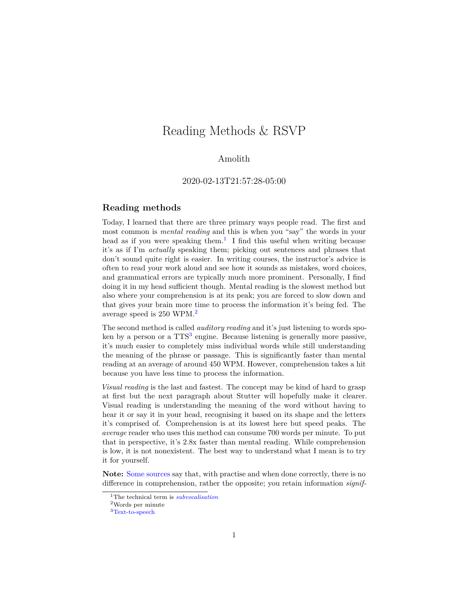# Reading Methods & RSVP

### Amolith

### 2020-02-13T21:57:28-05:00

### **Reading methods**

Today, I learned that there are three primary ways people read. The first and most common is *mental reading* and this is when you "say" the words in your head as if you were speaking them.<sup>[1](#page-0-0)</sup> I find this useful when writing because it's as if I'm *actually* speaking them; picking out sentences and phrases that don't sound quite right is easier. In writing courses, the instructor's advice is often to read your work aloud and see how it sounds as mistakes, word choices, and grammatical errors are typically much more prominent. Personally, I find doing it in my head sufficient though. Mental reading is the slowest method but also where your comprehension is at its peak; you are forced to slow down and that gives your brain more time to process the information it's being fed. The average speed is 250 WPM.[2](#page-0-1)

The second method is called *auditory reading* and it's just listening to words spo-ken by a person or a TTS<sup>[3](#page-0-2)</sup> engine. Because listening is generally more passive, it's much easier to completely miss individual words while still understanding the meaning of the phrase or passage. This is significantly faster than mental reading at an average of around 450 WPM. However, comprehension takes a hit because you have less time to process the information.

*Visual reading* is the last and fastest. The concept may be kind of hard to grasp at first but the next paragraph about Stutter will hopefully make it clearer. Visual reading is understanding the meaning of the word without having to hear it or say it in your head, recognising it based on its shape and the letters it's comprised of. Comprehension is at its lowest here but speed peaks. The *average* reader who uses this method can consume 700 words per minute. To put that in perspective, it's 2.8x faster than mental reading. While comprehension is low, it is not nonexistent. The best way to understand what I mean is to try it for yourself.

**Note:** [Some sources](https://steemit.com/content/@jacor/speed-reading-a-wonderful-skill-to-obtain) say that, with practise and when done correctly, there is no difference in comprehension, rather the opposite; you retain information *signif-*

<span id="page-0-0"></span><sup>1</sup>The technical term is *[subvocalisation](https://wikipedia.org/wiki/Subvocalization)*

<span id="page-0-1"></span> $^2 \rm{Words}$  per minute

<span id="page-0-2"></span><sup>3</sup>[Text-to-speech](https://wikipedia.org/wiki/Speech_synthesis)